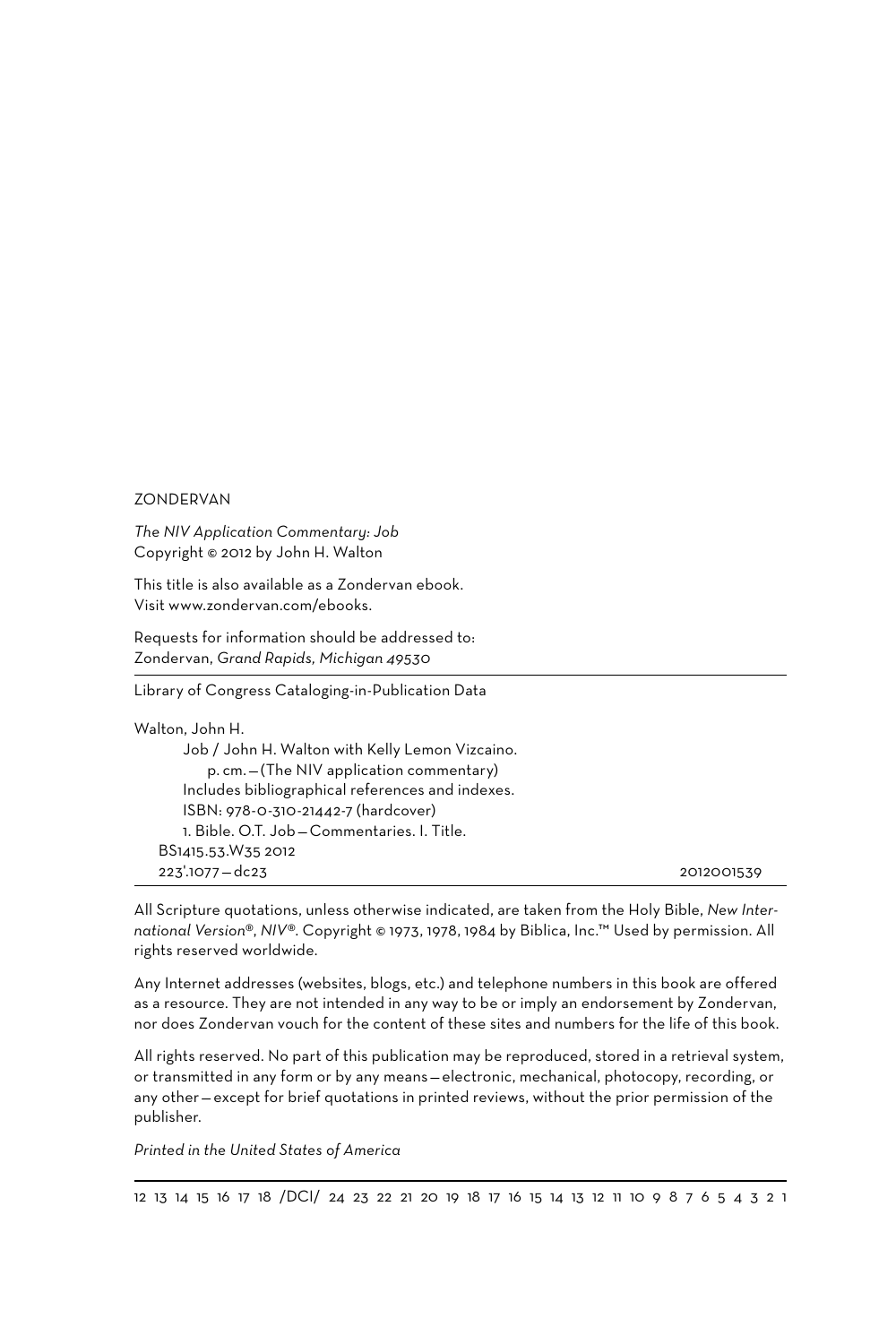#### ZONDERVAN

*The NIV Application Commentary: Job* Copyright © 2012 by John H. Walton

This title is also available as a Zondervan ebook. Visit www.zondervan.com/ebooks.

Requests for information should be addressed to: Zondervan, *Grand Rapids, Michigan 49530*

Library of Congress Cataloging-in-Publication Data

| Walton, John H.                                  |            |
|--------------------------------------------------|------------|
| Job / John H. Walton with Kelly Lemon Vizcaino.  |            |
| p. cm. - (The NIV application commentary)        |            |
| Includes bibliographical references and indexes. |            |
| ISBN: 978-0-310-21442-7 (hardcover)              |            |
| 1. Bible, O.T. Job-Commentaries, I. Title.       |            |
| BS1415.53.W35 2012                               |            |
| $223'.1077 - dc23$                               | 2012001539 |

All Scripture quotations, unless otherwise indicated, are taken from the Holy Bible, *New International Version*®, *NIV*®. Copyright © 1973, 1978, 1984 by Biblica, Inc.™ Used by permission. All rights reserved worldwide.

Any Internet addresses (websites, blogs, etc.) and telephone numbers in this book are offered as a resource. They are not intended in any way to be or imply an endorsement by Zondervan, nor does Zondervan vouch for the content of these sites and numbers for the life of this book.

All rights reserved. No part of this publication may be reproduced, stored in a retrieval system, or transmitted in any form or by any means— electronic, mechanical, photocopy, recording, or any other— except for brief quotations in printed reviews, without the prior permission of the publisher.

*Printed in the United States of America*

12 13 14 15 16 17 18 /DCI/ 24 23 22 21 20 19 18 17 16 15 14 13 12 11 10 9 8 7 6 5 4 3 2 1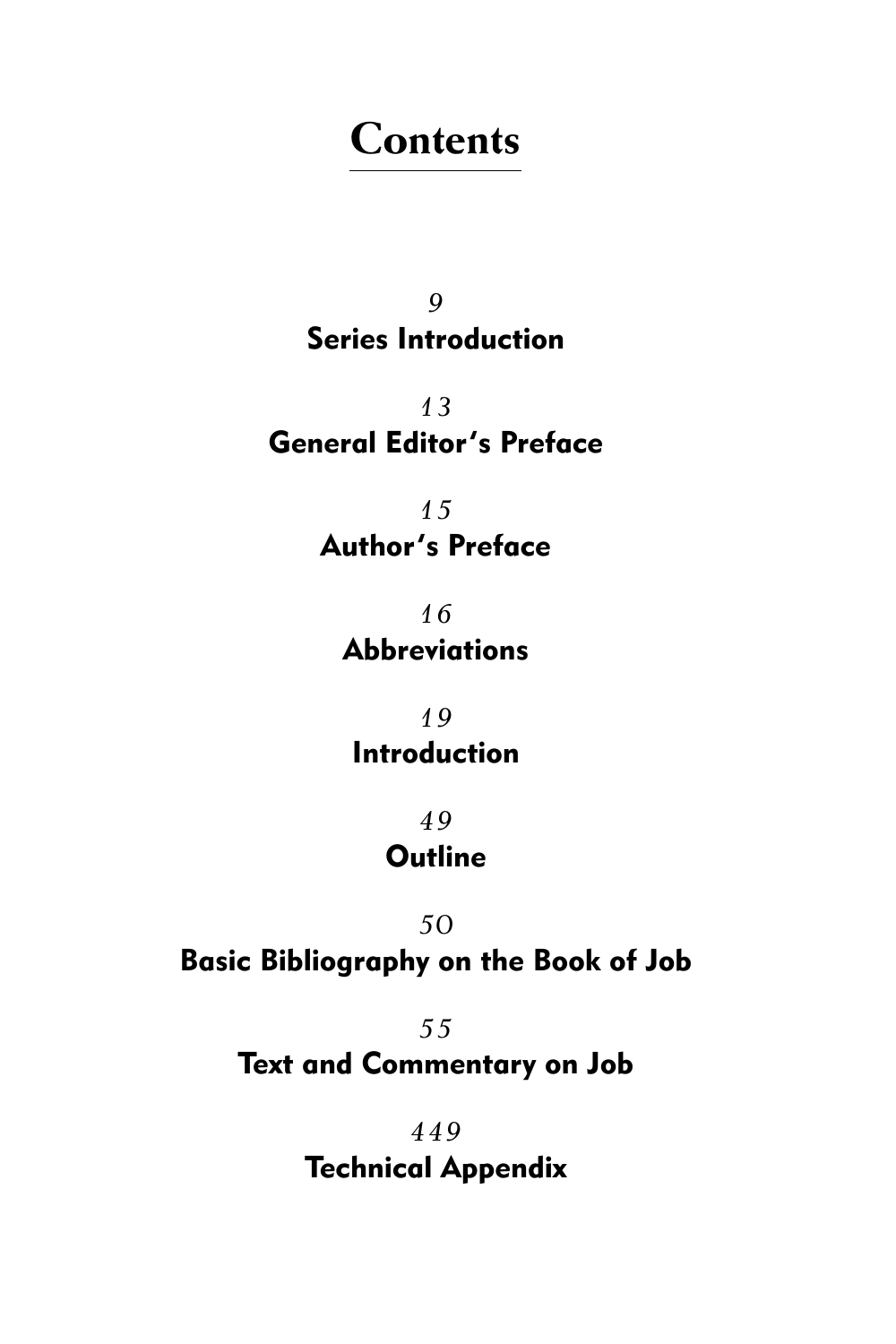# **Contents**

*9* Series Introduction

*13* General Editor's Preface

> *15* Author's Preface

*16* Abbreviations

*19* Introduction

> *49* **Outline**

### *50*

Basic Bibliography on the Book of Job

*55*

Text and Commentary on Job

*449* Technical Appendix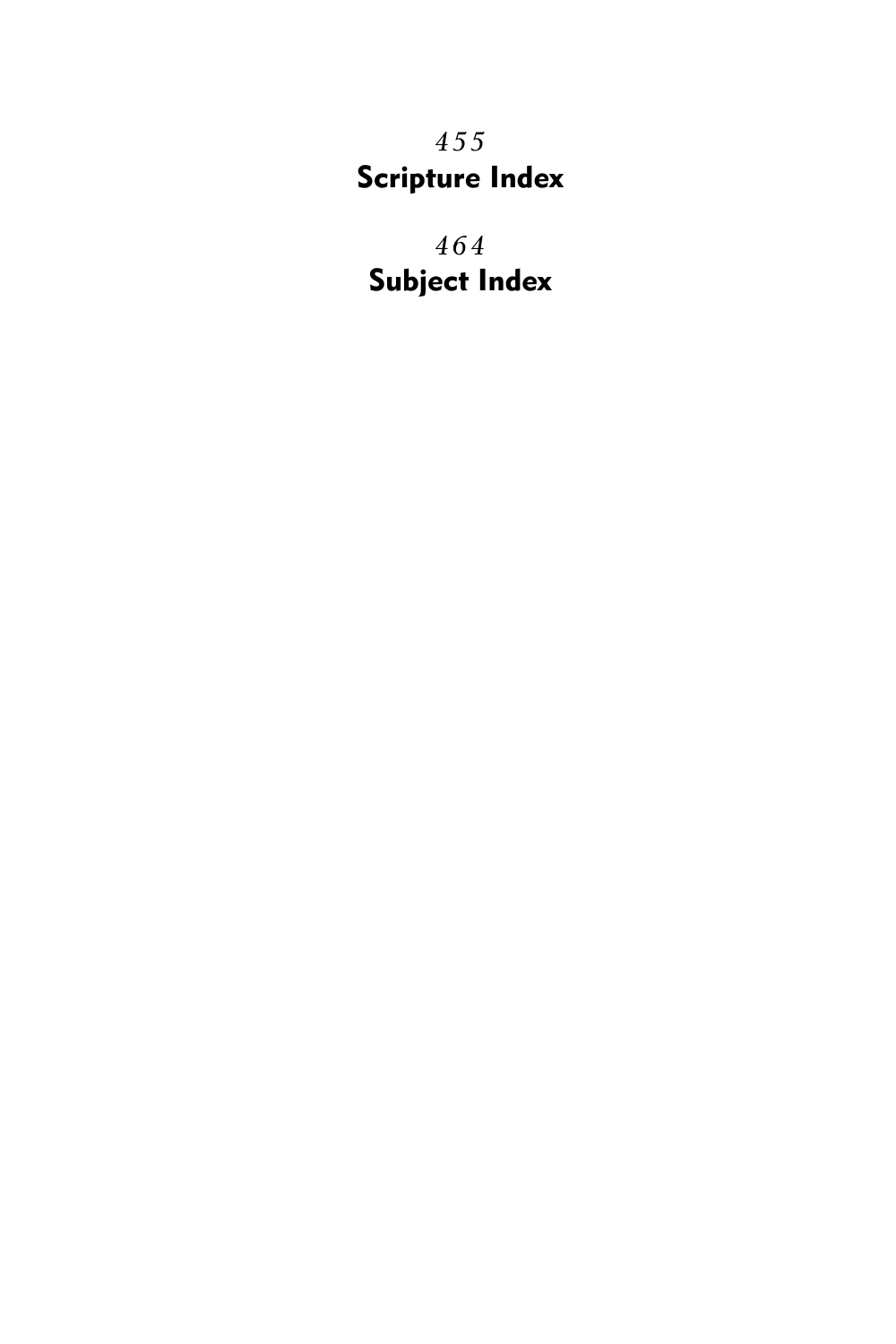*455* Scripture Index

*464* Subject Index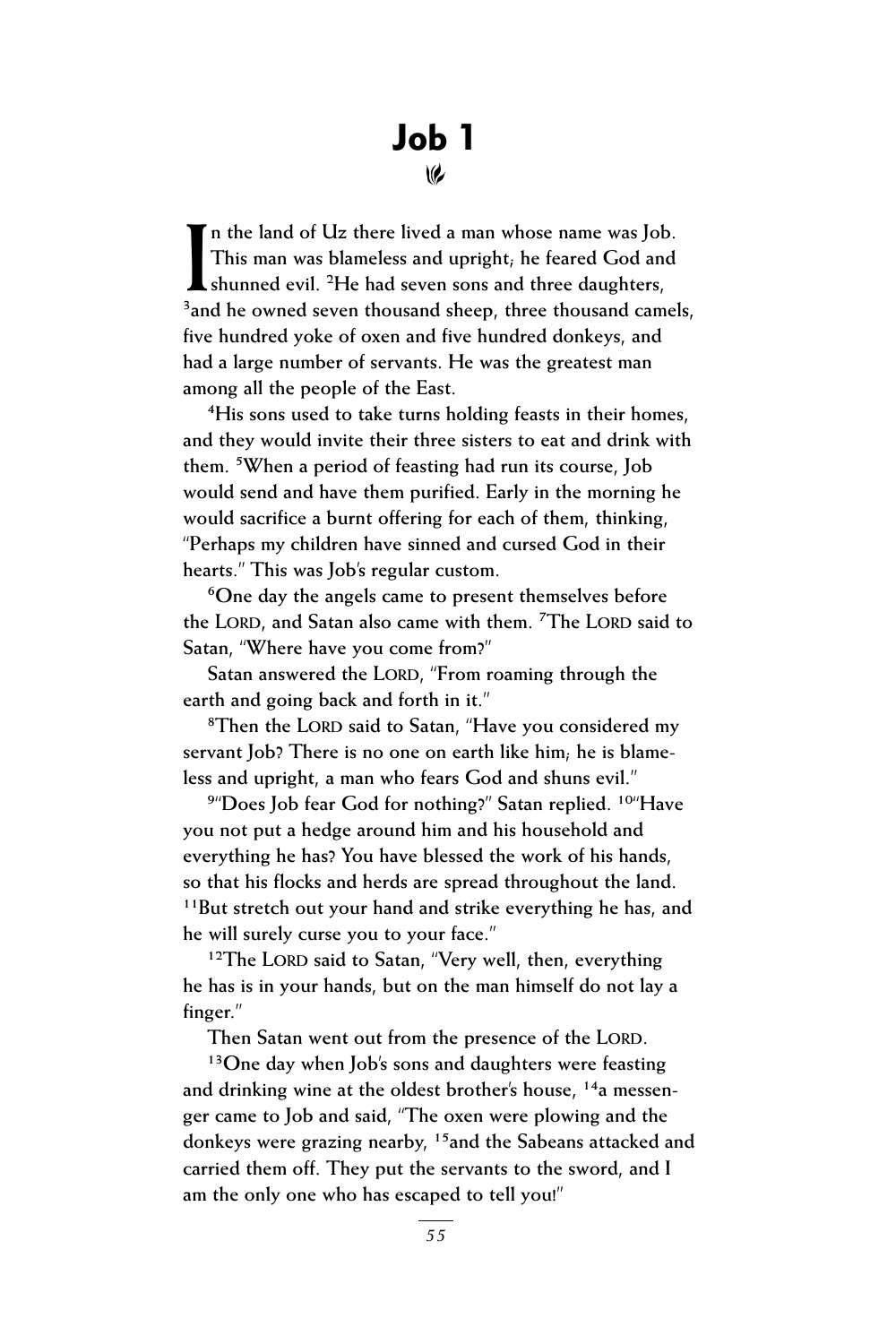## Job 1  $\omega$

**I n the land of Uz there lived a man whose name was Job. This man was blameless and upright; he feared God and k** shunned evil. <sup>2</sup>He had seven sons and three daughters, <sup>3</sup> and he owned seven thousand sheep, three thousand camels, **five hundred yoke of oxen and five hundred donkeys, and had a large number of servants. He was the greatest man among all the people of the East.**

**4His sons used to take turns holding feasts in their homes, and they would invite their three sisters to eat and drink with them. 5When a period of feasting had run its course, Job would send and have them purified. Early in the morning he would sacrifice a burnt offering for each of them, thinking, "Perhaps my children have sinned and cursed God in their hearts." This was Job's regular custom.**

**6One day the angels came to present themselves before the LORD**, and Satan also came with them. <sup>7</sup>The LORD said to **Satan, "Where have you come from?"**

Satan answered the LORD, "From roaming through the **earth and going back and forth in it."**

<sup>8</sup>Then the LORD said to Satan, "Have you considered my **servant Job? There is no one on earth like him; he is blameless and upright, a man who fears God and shuns evil."**

**9"Does Job fear God for nothing?" Satan replied. 10"Have you not put a hedge around him and his household and everything he has? You have blessed the work of his hands, so that his flocks and herds are spread throughout the land. 11But stretch out your hand and strike everything he has, and he will surely curse you to your face."**

<sup>12</sup>The LORD said to Satan, "Very well, then, everything **he has is in your hands, but on the man himself do not lay a finger."**

Then Satan went out from the presence of the LORD.

**13One day when Job's sons and daughters were feasting and drinking wine at the oldest brother's house, 14a messenger came to Job and said, "The oxen were plowing and the donkeys were grazing nearby, 15and the Sabeans attacked and carried them off. They put the servants to the sword, and I am the only one who has escaped to tell you!"**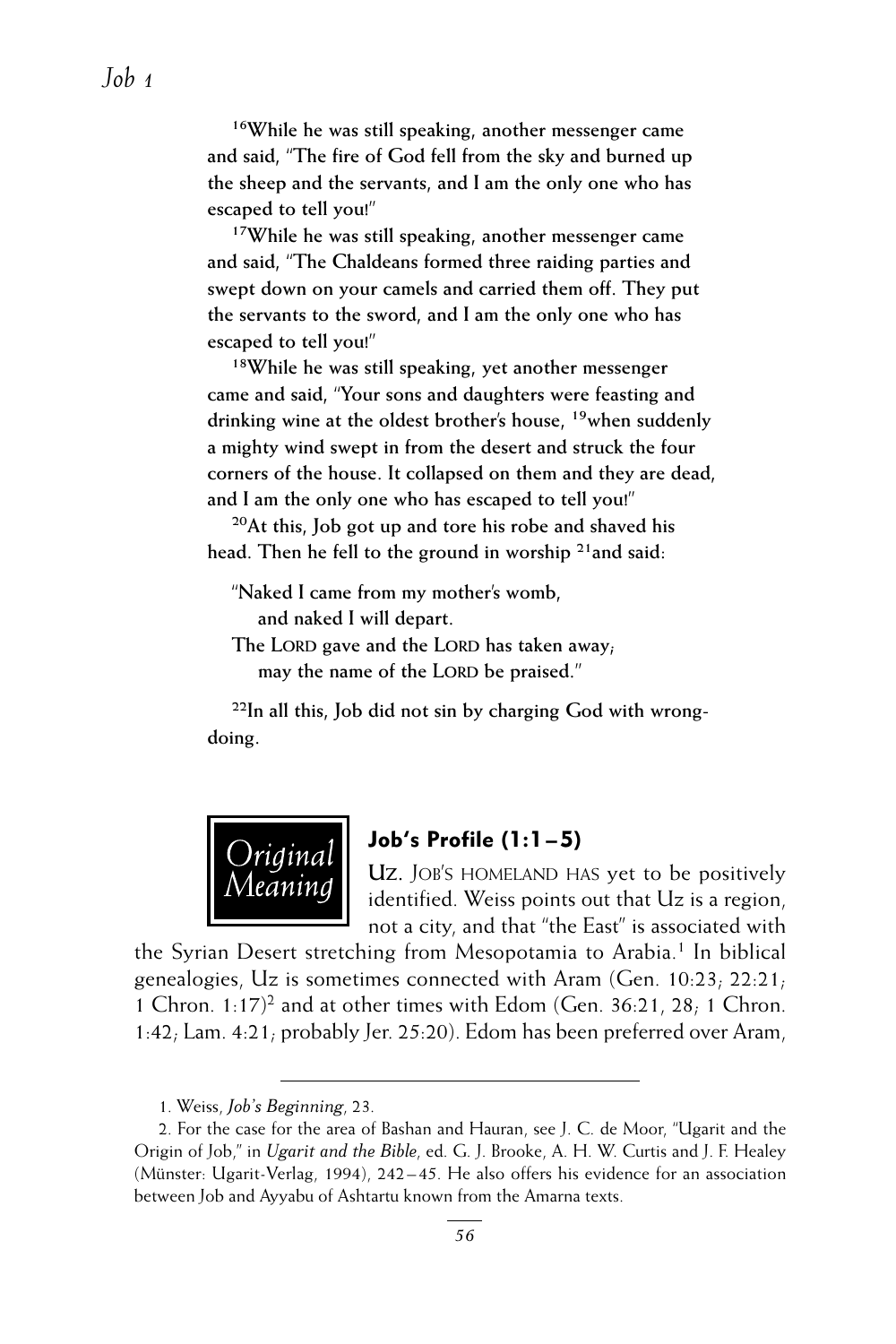**16While he was still speaking, another messenger came and said, "The fire of God fell from the sky and burned up the sheep and the servants, and I am the only one who has escaped to tell you!"**

**17While he was still speaking, another messenger came and said, "The Chaldeans formed three raiding parties and swept down on your camels and carried them off. They put the servants to the sword, and I am the only one who has escaped to tell you!"**

**18While he was still speaking, yet another messenger came and said, "Your sons and daughters were feasting and drinking wine at the oldest brother's house, 19when suddenly a mighty wind swept in from the desert and struck the four corners of the house. It collapsed on them and they are dead, and I am the only one who has escaped to tell you!"**

**20At this, Job got up and tore his robe and shaved his head. Then he fell to the ground in worship 21and said:**

**"Naked I came from my mother's womb, and naked I will depart.**

The LORD gave and the LORD has taken away; may the name of the LORD be praised."

**22In all this, Job did not sin by charging God with wrongdoing.**



#### Job's Profile (1:1 – 5)

Uz. JOB'S HOMELAND HAS yet to be positively identified. Weiss points out that Uz is a region, not a city, and that "the East" is associated with

the Syrian Desert stretching from Mesopotamia to Arabia.<sup>1</sup> In biblical genealogies, Uz is sometimes connected with Aram (Gen. 10:23; 22:21; 1 Chron.  $1:17$ <sup>2</sup> and at other times with Edom (Gen. 36:21, 28; 1 Chron. 1:42; Lam. 4:21; probably Jer. 25:20). Edom has been preferred over Aram,

1. Weiss, *Job's Beginning*, 23.

<sup>2.</sup> For the case for the area of Bashan and Hauran, see J. C. de Moor, "Ugarit and the Origin of Job," in *Ugarit and the Bible*, ed. G. J. Brooke, A. H. W. Curtis and J. F. Healey (Münster: Ugarit-Verlag, 1994), 242– 45. He also offers his evidence for an association between Job and Ayyabu of Ashtartu known from the Amarna texts.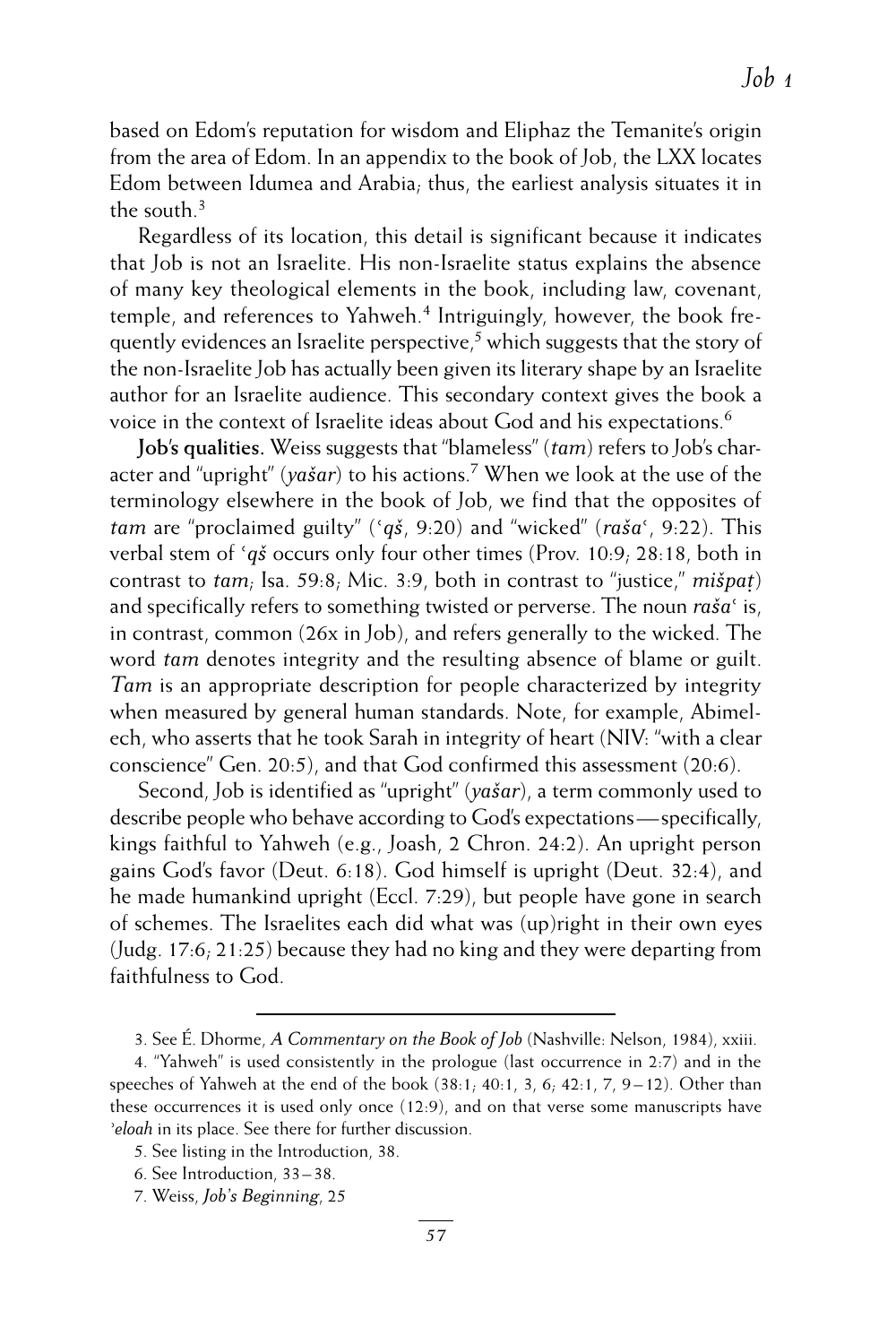based on Edom's reputation for wisdom and Eliphaz the Temanite's origin from the area of Edom. In an appendix to the book of Job, the LXX locates Edom between Idumea and Arabia; thus, the earliest analysis situates it in the south  $^3$ 

Regardless of its location, this detail is significant because it indicates that Job is not an Israelite. His non-Israelite status explains the absence of many key theological elements in the book, including law, covenant, temple, and references to Yahweh.<sup>4</sup> Intriguingly, however, the book frequently evidences an Israelite perspective,<sup>5</sup> which suggests that the story of the non-Israelite Job has actually been given its literary shape by an Israelite author for an Israelite audience. This secondary context gives the book a voice in the context of Israelite ideas about God and his expectations.6

**Job's qualities.** Weiss suggests that "blameless" (*tam*) refers to Job's character and "upright" (*yašar*) to his actions.7 When we look at the use of the terminology elsewhere in the book of Job, we find that the opposites of *tam* are "proclaimed guilty" (*ʿqš*, 9:20) and "wicked" (*rašaʿ*, 9:22). This verbal stem of *ʿqš* occurs only four other times (Prov. 10:9; 28:18, both in contrast to *tam*; Isa. 59:8; Mic. 3:9, both in contrast to "justice," *mišpaṭ* ) and specifically refers to something twisted or perverse. The noun *rašaʿ* is, in contrast, common (26x in Job), and refers generally to the wicked. The word *tam* denotes integrity and the resulting absence of blame or guilt. *Tam* is an appropriate description for people characterized by integrity when measured by general human standards. Note, for example, Abimelech, who asserts that he took Sarah in integrity of heart (NIV: "with a clear conscience" Gen. 20:5), and that God confirmed this assessment (20:6).

Second, Job is identified as "upright" (*yašar*), a term commonly used to describe people who behave according to God's expectations— specifically, kings faithful to Yahweh (e.g., Joash, 2 Chron. 24:2). An upright person gains God's favor (Deut. 6:18). God himself is upright (Deut. 32:4), and he made humankind upright (Eccl. 7:29), but people have gone in search of schemes. The Israelites each did what was (up)right in their own eyes (Judg. 17:6; 21:25) because they had no king and they were departing from faithfulness to God.

<sup>3.</sup> See É. Dhorme, *A Commentary on the Book of Job* (Nashville: Nelson, 1984), xxiii.

<sup>4. &</sup>quot;Yahweh" is used consistently in the prologue (last occurrence in 2:7) and in the speeches of Yahweh at the end of the book  $(38:1, 40:1, 3, 6, 42:1, 7, 9-12)$ . Other than these occurrences it is used only once (12:9), and on that verse some manuscripts have *ʾeloah* in its place. See there for further discussion.

<sup>5.</sup> See listing in the Introduction, 38.

<sup>6.</sup> See Introduction, 33–38.

<sup>7.</sup> Weiss, *Job's Beginning*, 25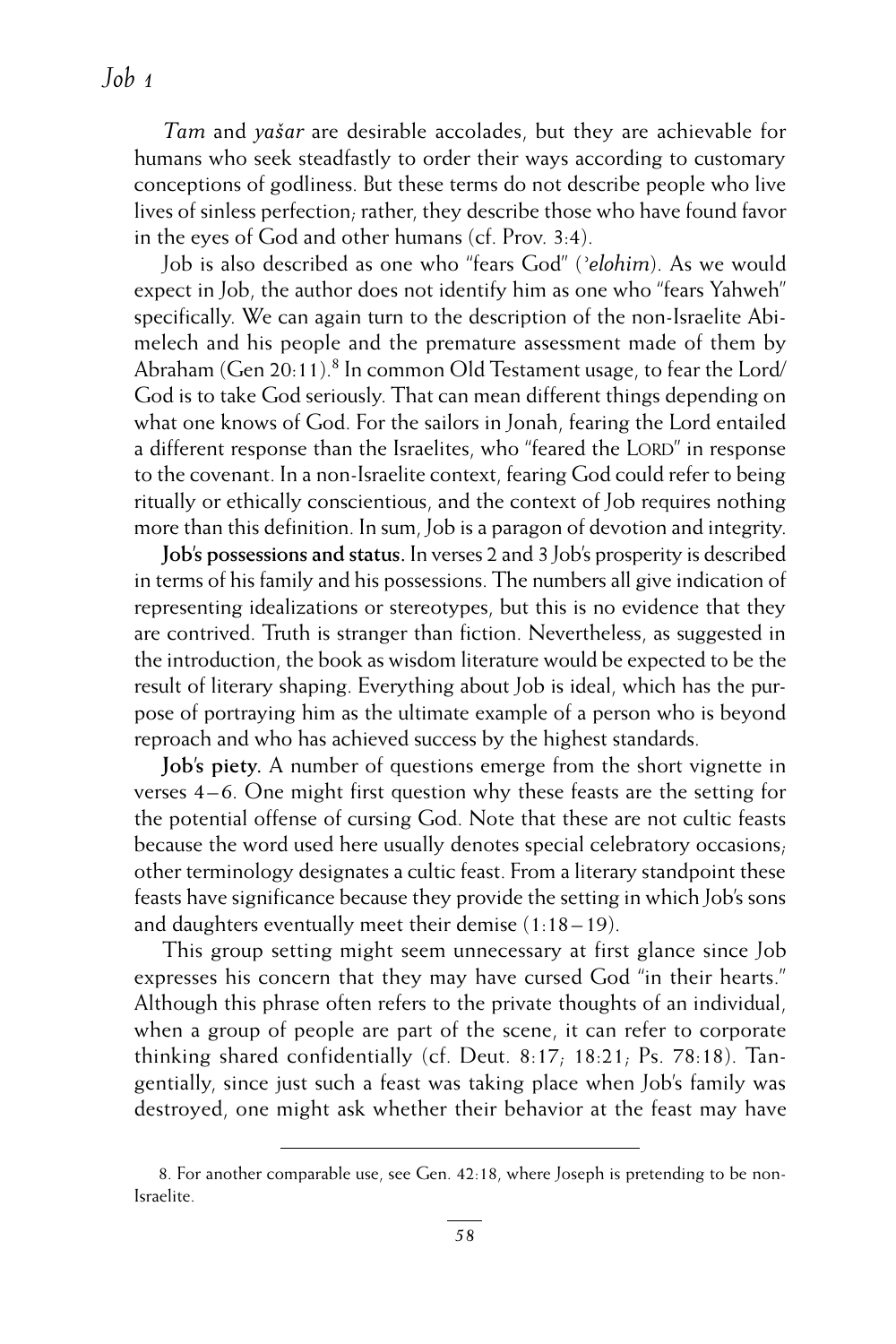*Tam* and *yašar* are desirable accolades, but they are achievable for humans who seek steadfastly to order their ways according to customary conceptions of godliness. But these terms do not describe people who live lives of sinless perfection; rather, they describe those who have found favor in the eyes of God and other humans (cf. Prov. 3:4).

Job is also described as one who "fears God" (*ʾelohim*). As we would expect in Job, the author does not identify him as one who "fears Yahweh" specifically. We can again turn to the description of the non-Israelite Abimelech and his people and the premature assessment made of them by Abraham (Gen 20:11).<sup>8</sup> In common Old Testament usage, to fear the Lord/ God is to take God seriously. That can mean different things depending on what one knows of God. For the sailors in Jonah, fearing the Lord entailed a different response than the Israelites, who "feared the LORD" in response to the covenant. In a non-Israelite context, fearing God could refer to being ritually or ethically conscientious, and the context of Job requires nothing more than this definition. In sum, Job is a paragon of devotion and integrity.

**Job's possessions and status.** In verses 2 and 3 Job's prosperity is described in terms of his family and his possessions. The numbers all give indication of representing idealizations or stereotypes, but this is no evidence that they are contrived. Truth is stranger than fiction. Nevertheless, as suggested in the introduction, the book as wisdom literature would be expected to be the result of literary shaping. Everything about Job is ideal, which has the purpose of portraying him as the ultimate example of a person who is beyond reproach and who has achieved success by the highest standards.

**Job's piety.** A number of questions emerge from the short vignette in verses 4–6. One might first question why these feasts are the setting for the potential offense of cursing God. Note that these are not cultic feasts because the word used here usually denotes special celebratory occasions; other terminology designates a cultic feast. From a literary standpoint these feasts have significance because they provide the setting in which Job's sons and daughters eventually meet their demise (1:18–19).

This group setting might seem unnecessary at first glance since Job expresses his concern that they may have cursed God "in their hearts." Although this phrase often refers to the private thoughts of an individual, when a group of people are part of the scene, it can refer to corporate thinking shared confidentially (cf. Deut. 8:17; 18:21; Ps. 78:18). Tangentially, since just such a feast was taking place when Job's family was destroyed, one might ask whether their behavior at the feast may have

<sup>8.</sup> For another comparable use, see Gen. 42:18, where Joseph is pretending to be non-Israelite.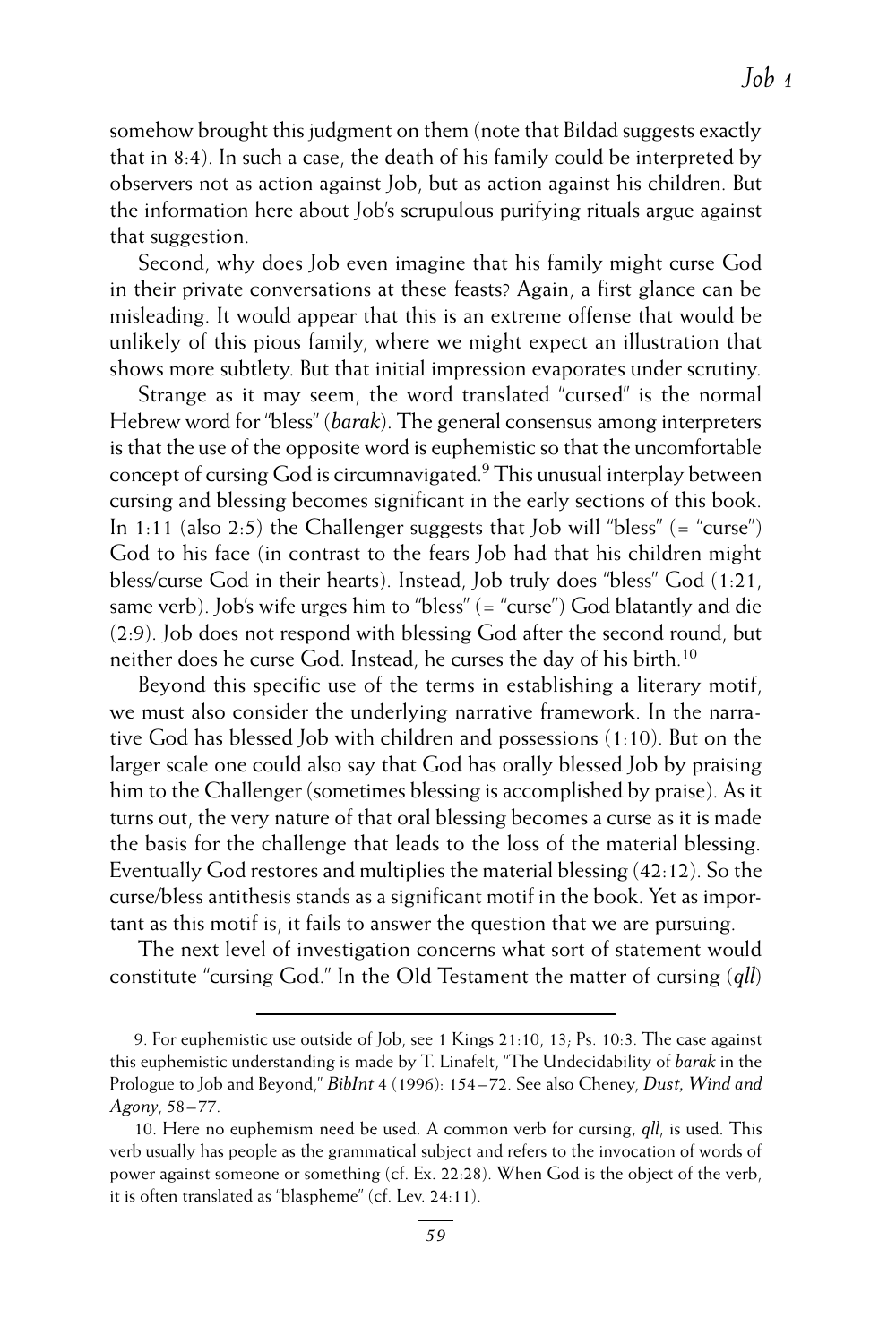somehow brought this judgment on them (note that Bildad suggests exactly that in 8:4). In such a case, the death of his family could be interpreted by observers not as action against Job, but as action against his children. But the information here about Job's scrupulous purifying rituals argue against that suggestion.

Second, why does Job even imagine that his family might curse God in their private conversations at these feasts? Again, a first glance can be misleading. It would appear that this is an extreme offense that would be unlikely of this pious family, where we might expect an illustration that shows more subtlety. But that initial impression evaporates under scrutiny.

Strange as it may seem, the word translated "cursed" is the normal Hebrew word for "bless" (*barak*). The general consensus among interpreters is that the use of the opposite word is euphemistic so that the uncomfortable concept of cursing God is circumnavigated.9 This unusual interplay between cursing and blessing becomes significant in the early sections of this book. In 1:11 (also 2:5) the Challenger suggests that Job will "bless"  $($  = "curse") God to his face (in contrast to the fears Job had that his children might bless/curse God in their hearts). Instead, Job truly does "bless" God (1:21, same verb). Job's wife urges him to "bless" (= "curse") God blatantly and die (2:9). Job does not respond with blessing God after the second round, but neither does he curse God. Instead, he curses the day of his birth.<sup>10</sup>

Beyond this specific use of the terms in establishing a literary motif, we must also consider the underlying narrative framework. In the narrative God has blessed Job with children and possessions (1:10). But on the larger scale one could also say that God has orally blessed Job by praising him to the Challenger (sometimes blessing is accomplished by praise). As it turns out, the very nature of that oral blessing becomes a curse as it is made the basis for the challenge that leads to the loss of the material blessing. Eventually God restores and multiplies the material blessing (42:12). So the curse/bless antithesis stands as a significant motif in the book. Yet as important as this motif is, it fails to answer the question that we are pursuing.

The next level of investigation concerns what sort of statement would constitute "cursing God." In the Old Testament the matter of cursing (*qll*)

<sup>9.</sup> For euphemistic use outside of Job, see 1 Kings 21:10, 13; Ps. 10:3. The case against this euphemistic understanding is made by T. Linafelt, "The Undecidability of *barak* in the Prologue to Job and Beyond," *BibInt* 4 (1996): 154–72. See also Cheney, *Dust, Wind and Agony*, 58–77.

<sup>10.</sup> Here no euphemism need be used. A common verb for cursing, *qll*, is used. This verb usually has people as the grammatical subject and refers to the invocation of words of power against someone or something (cf. Ex. 22:28). When God is the object of the verb, it is often translated as "blaspheme" (cf. Lev. 24:11).